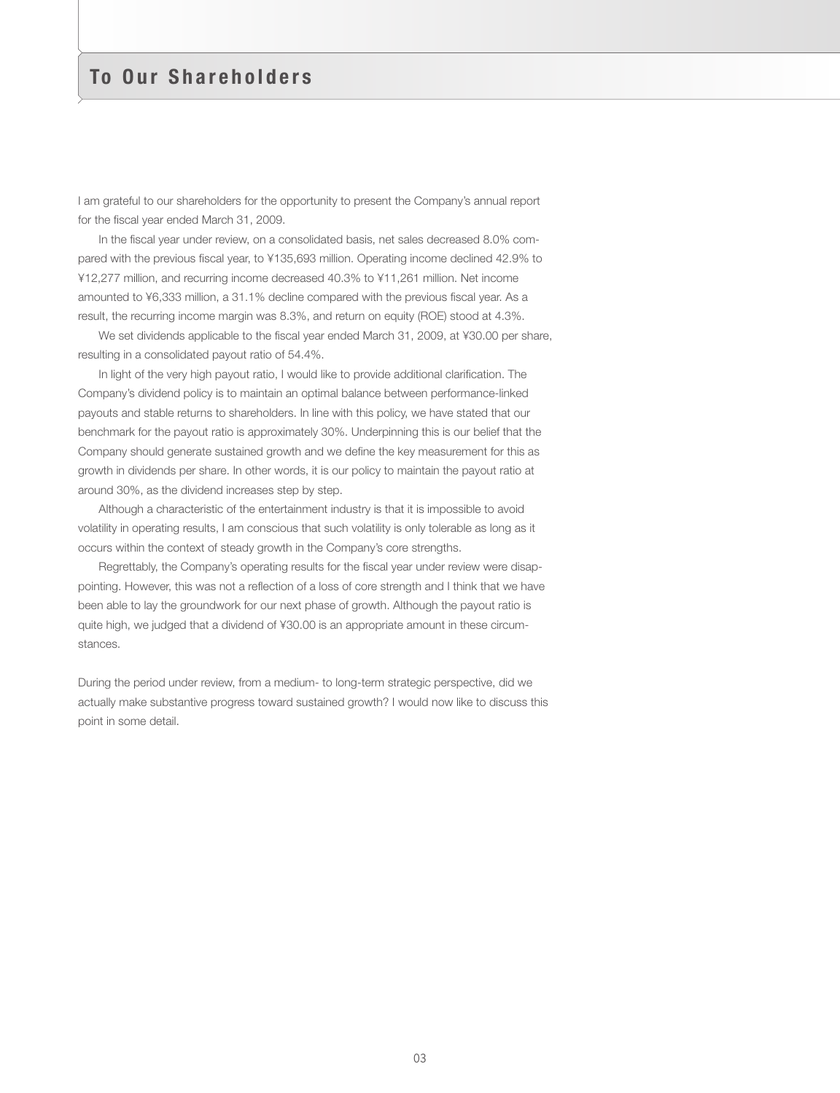# To Our Shareholders

I am grateful to our shareholders for the opportunity to present the Company's annual report for the fiscal year ended March 31, 2009.

In the fiscal year under review, on a consolidated basis, net sales decreased 8.0% compared with the previous fiscal year, to ¥135,693 million. Operating income declined 42.9% to ¥12,277 million, and recurring income decreased 40.3% to ¥11,261 million. Net income amounted to ¥6,333 million, a 31.1% decline compared with the previous fiscal year. As a result, the recurring income margin was 8.3%, and return on equity (ROE) stood at 4.3%.

We set dividends applicable to the fiscal year ended March 31, 2009, at ¥30.00 per share, resulting in a consolidated payout ratio of 54.4%.

In light of the very high payout ratio, I would like to provide additional clarification. The Company's dividend policy is to maintain an optimal balance between performance-linked payouts and stable returns to shareholders. In line with this policy, we have stated that our benchmark for the payout ratio is approximately 30%. Underpinning this is our belief that the Company should generate sustained growth and we define the key measurement for this as growth in dividends per share. In other words, it is our policy to maintain the payout ratio at around 30%, as the dividend increases step by step.

Although a characteristic of the entertainment industry is that it is impossible to avoid volatility in operating results, I am conscious that such volatility is only tolerable as long as it occurs within the context of steady growth in the Company's core strengths.

Regrettably, the Company's operating results for the fiscal year under review were disappointing. However, this was not a reflection of a loss of core strength and I think that we have been able to lay the groundwork for our next phase of growth. Although the payout ratio is quite high, we judged that a dividend of ¥30.00 is an appropriate amount in these circumstances.

During the period under review, from a medium- to long-term strategic perspective, did we actually make substantive progress toward sustained growth? I would now like to discuss this point in some detail.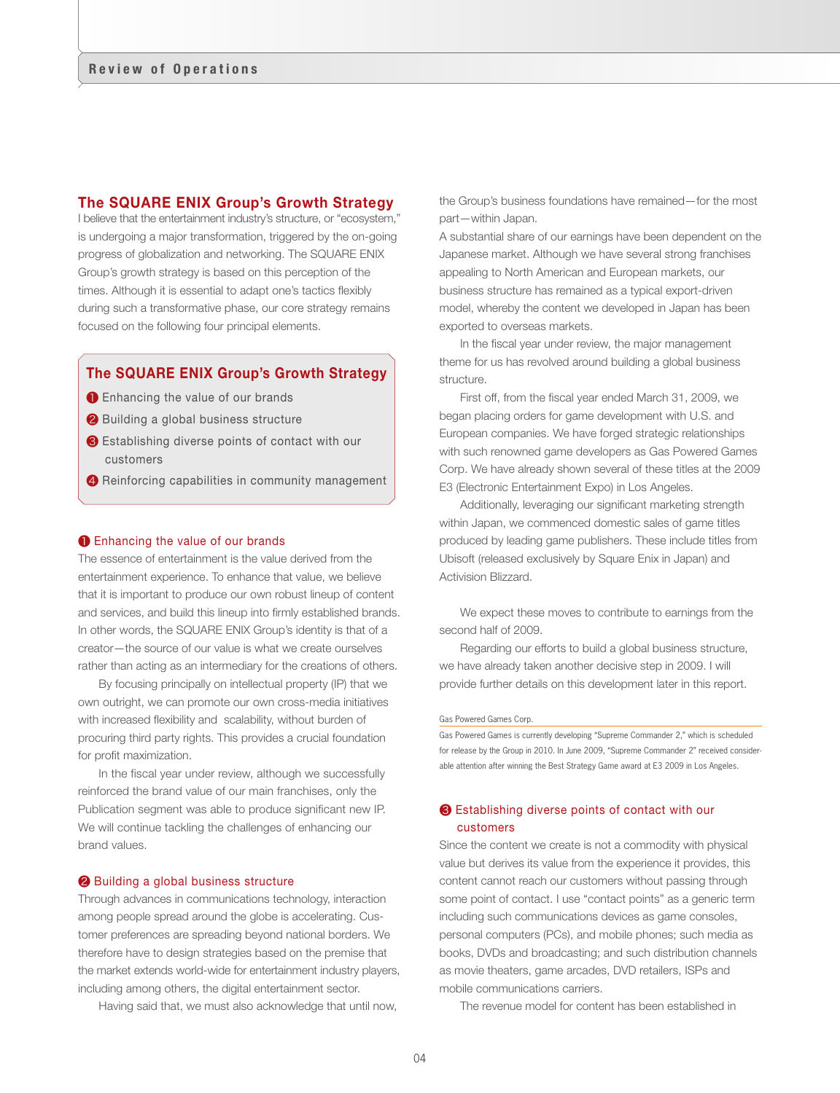# The SQUARE ENIX Group's Growth Strategy

I believe that the entertainment industry's structure, or "ecosystem," is undergoing a major transformation, triggered by the on-going progress of globalization and networking. The SQUARE ENIX Group's growth strategy is based on this perception of the times. Although it is essential to adapt one's tactics flexibly during such a transformative phase, our core strategy remains focused on the following four principal elements.

# The SQUARE ENIX Group's Growth Strategy

- **O** Enhancing the value of our brands
- ❷ Building a global business structure
- ❸ Establishing diverse points of contact with our customers
- 4 Reinforcing capabilities in community management

#### **O** Enhancing the value of our brands

The essence of entertainment is the value derived from the entertainment experience. To enhance that value, we believe that it is important to produce our own robust lineup of content and services, and build this lineup into firmly established brands. In other words, the SQUARE ENIX Group's identity is that of a creator—the source of our value is what we create ourselves rather than acting as an intermediary for the creations of others.

By focusing principally on intellectual property (IP) that we own outright, we can promote our own cross-media initiatives with increased flexibility and scalability, without burden of procuring third party rights. This provides a crucial foundation for profit maximization.

In the fiscal year under review, although we successfully reinforced the brand value of our main franchises, only the Publication segment was able to produce significant new IP. We will continue tackling the challenges of enhancing our brand values.

#### ❷ Building a global business structure

Through advances in communications technology, interaction among people spread around the globe is accelerating. Customer preferences are spreading beyond national borders. We therefore have to design strategies based on the premise that the market extends world-wide for entertainment industry players, including among others, the digital entertainment sector.

Having said that, we must also acknowledge that until now,

the Group's business foundations have remained—for the most part—within Japan.

A substantial share of our earnings have been dependent on the Japanese market. Although we have several strong franchises appealing to North American and European markets, our business structure has remained as a typical export-driven model, whereby the content we developed in Japan has been exported to overseas markets.

In the fiscal year under review, the major management theme for us has revolved around building a global business structure.

First off, from the fiscal year ended March 31, 2009, we began placing orders for game development with U.S. and European companies. We have forged strategic relationships with such renowned game developers as Gas Powered Games Corp. We have already shown several of these titles at the 2009 E3 (Electronic Entertainment Expo) in Los Angeles.

Additionally, leveraging our significant marketing strength within Japan, we commenced domestic sales of game titles produced by leading game publishers. These include titles from Ubisoft (released exclusively by Square Enix in Japan) and Activision Blizzard.

We expect these moves to contribute to earnings from the second half of 2009.

Regarding our efforts to build a global business structure, we have already taken another decisive step in 2009. I will provide further details on this development later in this report.

#### Gas Powered Games Corp.

Gas Powered Games is currently developing "Supreme Commander 2," which is scheduled for release by the Group in 2010. In June 2009, "Supreme Commander 2" received considerable attention after winning the Best Strategy Game award at E3 2009 in Los Angeles.

## ❸ Establishing diverse points of contact with our customers

Since the content we create is not a commodity with physical value but derives its value from the experience it provides, this content cannot reach our customers without passing through some point of contact. I use "contact points" as a generic term including such communications devices as game consoles, personal computers (PCs), and mobile phones; such media as books, DVDs and broadcasting; and such distribution channels as movie theaters, game arcades, DVD retailers, ISPs and mobile communications carriers.

The revenue model for content has been established in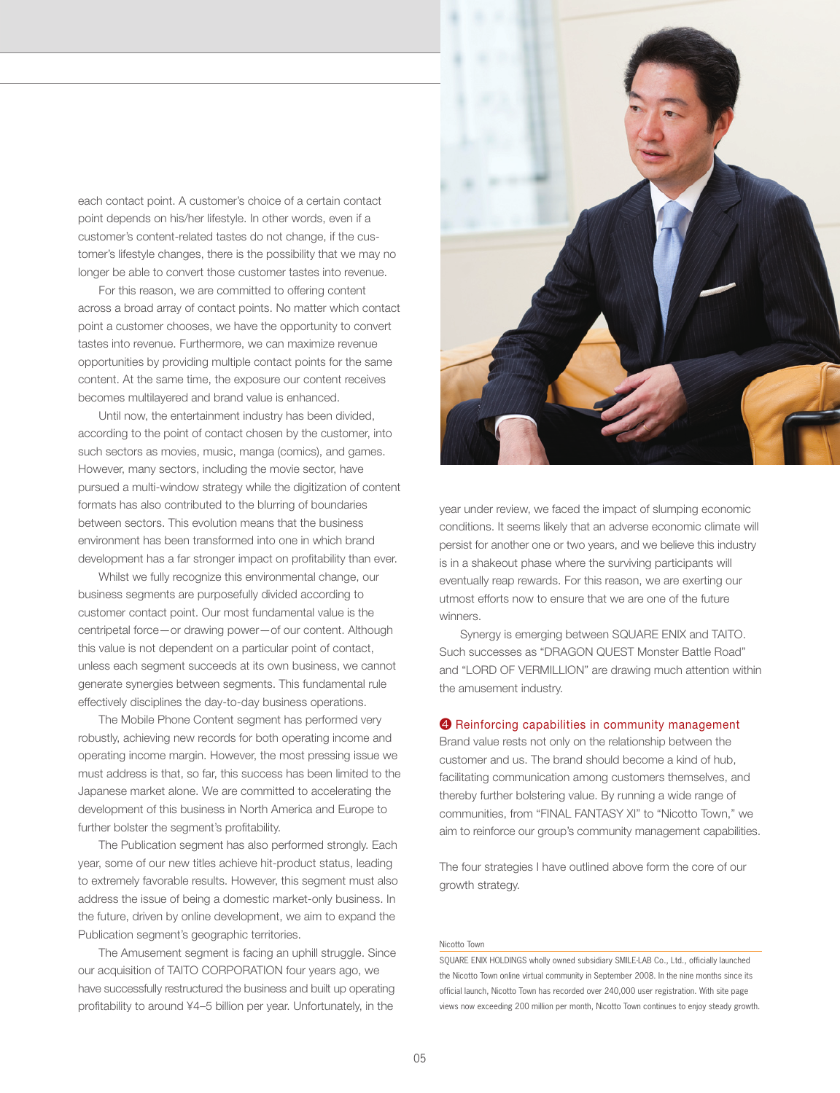each contact point. A customer's choice of a certain contact point depends on his/her lifestyle. In other words, even if a customer's content-related tastes do not change, if the customer's lifestyle changes, there is the possibility that we may no longer be able to convert those customer tastes into revenue.

For this reason, we are committed to offering content across a broad array of contact points. No matter which contact point a customer chooses, we have the opportunity to convert tastes into revenue. Furthermore, we can maximize revenue opportunities by providing multiple contact points for the same content. At the same time, the exposure our content receives becomes multilayered and brand value is enhanced.

Until now, the entertainment industry has been divided, according to the point of contact chosen by the customer, into such sectors as movies, music, manga (comics), and games. However, many sectors, including the movie sector, have pursued a multi-window strategy while the digitization of content formats has also contributed to the blurring of boundaries between sectors. This evolution means that the business environment has been transformed into one in which brand development has a far stronger impact on profitability than ever.

Whilst we fully recognize this environmental change, our business segments are purposefully divided according to customer contact point. Our most fundamental value is the centripetal force—or drawing power—of our content. Although this value is not dependent on a particular point of contact, unless each segment succeeds at its own business, we cannot generate synergies between segments. This fundamental rule effectively disciplines the day-to-day business operations.

The Mobile Phone Content segment has performed very robustly, achieving new records for both operating income and operating income margin. However, the most pressing issue we must address is that, so far, this success has been limited to the Japanese market alone. We are committed to accelerating the development of this business in North America and Europe to further bolster the segment's profitability.

The Publication segment has also performed strongly. Each year, some of our new titles achieve hit-product status, leading to extremely favorable results. However, this segment must also address the issue of being a domestic market-only business. In the future, driven by online development, we aim to expand the Publication segment's geographic territories.

The Amusement segment is facing an uphill struggle. Since our acquisition of TAITO CORPORATION four years ago, we have successfully restructured the business and built up operating profitability to around ¥4–5 billion per year. Unfortunately, in the



year under review, we faced the impact of slumping economic conditions. It seems likely that an adverse economic climate will persist for another one or two years, and we believe this industry is in a shakeout phase where the surviving participants will eventually reap rewards. For this reason, we are exerting our utmost efforts now to ensure that we are one of the future winners.

Synergy is emerging between SQUARE ENIX and TAITO. Such successes as "DRAGON QUEST Monster Battle Road" and "LORD OF VERMILLION" are drawing much attention within the amusement industry.

#### ❹ Reinforcing capabilities in community management

Brand value rests not only on the relationship between the customer and us. The brand should become a kind of hub, facilitating communication among customers themselves, and thereby further bolstering value. By running a wide range of communities, from "FINAL FANTASY XI" to "Nicotto Town," we aim to reinforce our group's community management capabilities.

The four strategies I have outlined above form the core of our growth strategy.

#### Nicotto Town

SQUARE ENIX HOLDINGS wholly owned subsidiary SMILE-LAB Co., Ltd., officially launched the Nicotto Town online virtual community in September 2008. In the nine months since its official launch, Nicotto Town has recorded over 240,000 user registration. With site page views now exceeding 200 million per month, Nicotto Town continues to enjoy steady growth.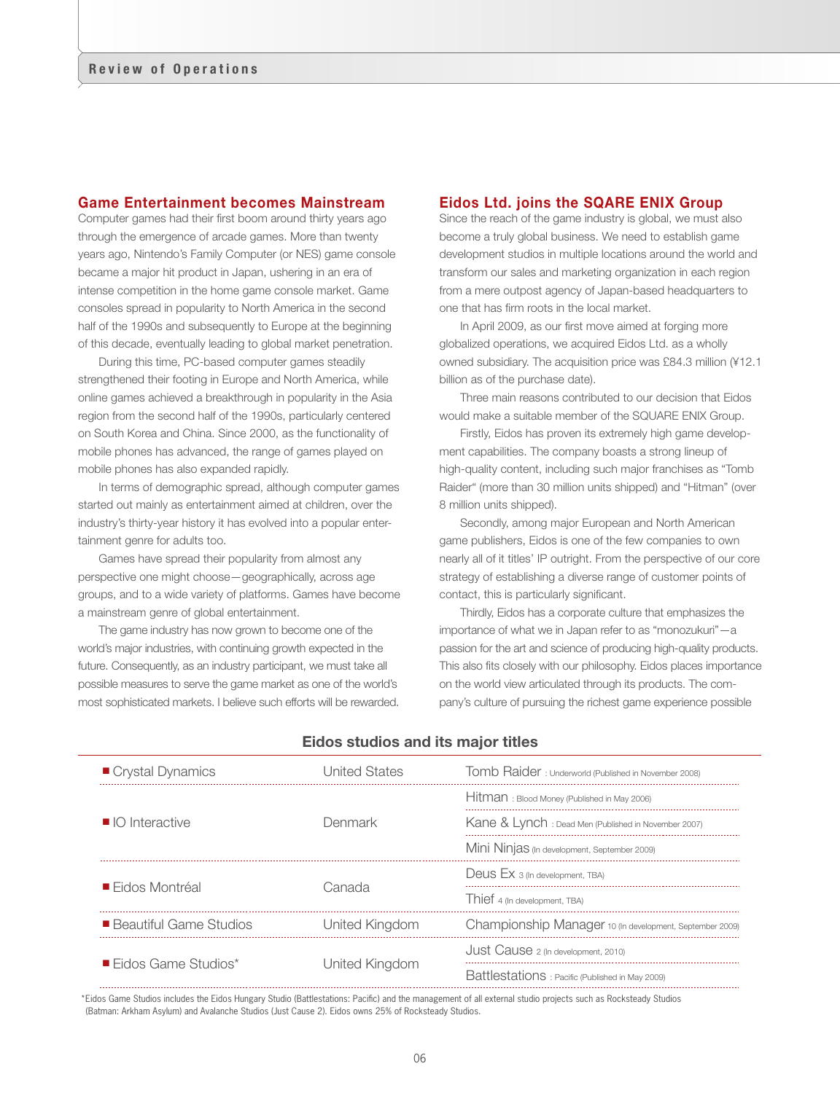## Game Entertainment becomes Mainstream

Computer games had their first boom around thirty years ago through the emergence of arcade games. More than twenty years ago, Nintendo's Family Computer (or NES) game console became a major hit product in Japan, ushering in an era of intense competition in the home game console market. Game consoles spread in popularity to North America in the second half of the 1990s and subsequently to Europe at the beginning of this decade, eventually leading to global market penetration.

During this time, PC-based computer games steadily strengthened their footing in Europe and North America, while online games achieved a breakthrough in popularity in the Asia region from the second half of the 1990s, particularly centered on South Korea and China. Since 2000, as the functionality of mobile phones has advanced, the range of games played on mobile phones has also expanded rapidly.

In terms of demographic spread, although computer games started out mainly as entertainment aimed at children, over the industry's thirty-year history it has evolved into a popular entertainment genre for adults too.

Games have spread their popularity from almost any perspective one might choose—geographically, across age groups, and to a wide variety of platforms. Games have become a mainstream genre of global entertainment.

The game industry has now grown to become one of the world's major industries, with continuing growth expected in the future. Consequently, as an industry participant, we must take all possible measures to serve the game market as one of the world's most sophisticated markets. I believe such efforts will be rewarded.

# Eidos Ltd. joins the SQARE ENIX Group

Since the reach of the game industry is global, we must also become a truly global business. We need to establish game development studios in multiple locations around the world and transform our sales and marketing organization in each region from a mere outpost agency of Japan-based headquarters to one that has firm roots in the local market.

In April 2009, as our first move aimed at forging more globalized operations, we acquired Eidos Ltd. as a wholly owned subsidiary. The acquisition price was £84.3 million (¥12.1 billion as of the purchase date).

Three main reasons contributed to our decision that Eidos would make a suitable member of the SQUARE ENIX Group.

Firstly, Eidos has proven its extremely high game development capabilities. The company boasts a strong lineup of high-quality content, including such major franchises as "Tomb Raider" (more than 30 million units shipped) and "Hitman" (over 8 million units shipped).

Secondly, among major European and North American game publishers, Eidos is one of the few companies to own nearly all of it titles' IP outright. From the perspective of our core strategy of establishing a diverse range of customer points of contact, this is particularly significant.

Thirdly, Eidos has a corporate culture that emphasizes the importance of what we in Japan refer to as "monozukuri"—a passion for the art and science of producing high-quality products. This also fits closely with our philosophy. Eidos places importance on the world view articulated through its products. The company's culture of pursuing the richest game experience possible

| Crystal Dynamics                   | Jnited States  | Tomb Raider: Underworld (Published in November 2008)     |
|------------------------------------|----------------|----------------------------------------------------------|
| $\Box$ O Interactive               | Denmark        | Hitman: Blood Money (Published in May 2006)              |
|                                    |                | Kane & Lynch : Dead Men (Published in November 2007)     |
|                                    |                | Mini Ninjas (In development, September 2009)             |
| ■ Fidos Montréal                   | ∷anada         | Deus Ex 3 (In development, TBA)                          |
|                                    |                | Thief 4 (In development, TBA)                            |
| ■ Beautiful Game Studios           | United Kingdom | Championship Manager 10 (In development, September 2009) |
| $\blacksquare$ Fidos Game Studios* | United Kingdom | Just Cause 2 (In development, 2010)                      |
|                                    |                | Battlestations : Pacific (Published in May 2009)         |
|                                    |                |                                                          |

### Eidos studios and its major titles

\*Eidos Game Studios includes the Eidos Hungary Studio (Battlestations: Pacific) and the management of all external studio projects such as Rocksteady Studios (Batman: Arkham Asylum) and Avalanche Studios (Just Cause 2). Eidos owns 25% of Rocksteady Studios.